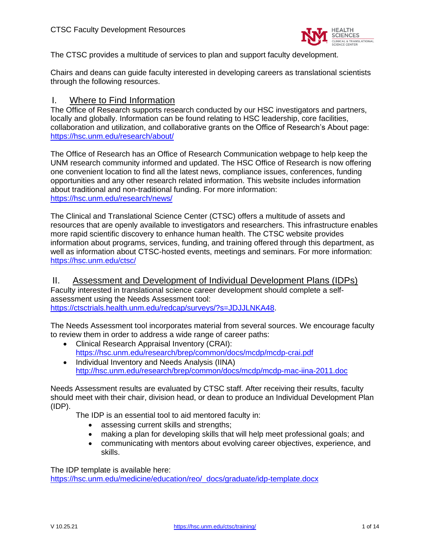

The CTSC provides a multitude of services to plan and support faculty development.

Chairs and deans can guide faculty interested in developing careers as translational scientists through the following resources.

## I. Where to Find Information

The Office of Research supports research conducted by our HSC investigators and partners, locally and globally. Information can be found relating to HSC leadership, core facilities, collaboration and utilization, and collaborative grants on the Office of Research's About page: <https://hsc.unm.edu/research/about/>

The Office of Research has an Office of Research Communication webpage to help keep the UNM research community informed and updated. The HSC Office of Research is now offering one convenient location to find all the latest news, compliance issues, conferences, funding opportunities and any other research related information. This website includes information about traditional and non-traditional funding. For more information: <https://hsc.unm.edu/research/news/>

The Clinical and Translational Science Center (CTSC) offers a multitude of assets and resources that are openly available to investigators and researchers. This infrastructure enables more rapid scientific discovery to enhance human health. The CTSC website provides information about programs, services, funding, and training offered through this department, as well as information about CTSC-hosted events, meetings and seminars. For more information: <https://hsc.unm.edu/ctsc/>

II. Assessment and Development of Individual Development Plans (IDPs) Faculty interested in translational science career development should complete a selfassessment using the Needs Assessment tool: [https://ctsctrials.health.unm.edu/redcap/surveys/?s=JDJJLNKA48.](https://ctsctrials.health.unm.edu/redcap/surveys/?s=JDJJLNKA48)

The Needs Assessment tool incorporates material from several sources. We encourage faculty to review them in order to address a wide range of career paths:

- Clinical Research Appraisal Inventory (CRAI): <https://hsc.unm.edu/research/brep/common/docs/mcdp/mcdp-crai.pdf>
- Individual Inventory and Needs Analysis (IINA) <http://hsc.unm.edu/research/brep/common/docs/mcdp/mcdp-mac-iina-2011.doc>

Needs Assessment results are evaluated by CTSC staff. After receiving their results, faculty should meet with their chair, division head, or dean to produce an Individual Development Plan (IDP).

The IDP is an essential tool to aid mentored faculty in:

- assessing current skills and strengths;
- making a plan for developing skills that will help meet professional goals; and
- communicating with mentors about evolving career objectives, experience, and skills.

The IDP template is available here:

[https://hsc.unm.edu/medicine/education/reo/\\_docs/graduate/idp-template.docx](https://hsc.unm.edu/medicine/education/reo/_docs/graduate/idp-template.docx)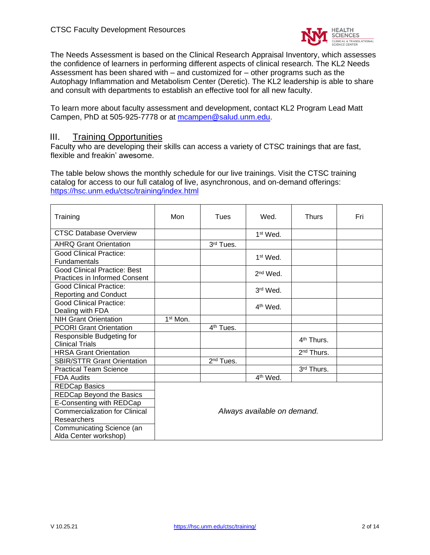

The Needs Assessment is based on the Clinical Research Appraisal Inventory, which assesses the confidence of learners in performing different aspects of clinical research. The KL2 Needs Assessment has been shared with – and customized for – other programs such as the Autophagy Inflammation and Metabolism Center (Deretic). The KL2 leadership is able to share and consult with departments to establish an effective tool for all new faculty.

To learn more about faculty assessment and development, contact KL2 Program Lead Matt Campen, PhD at 505-925-7778 or at [mcampen@salud.unm.edu.](mailto:mcampen@salud.unm.edu)

### III. Training Opportunities

Faculty who are developing their skills can access a variety of CTSC trainings that are fast, flexible and freakin' awesome.

The table below shows the monthly schedule for our live trainings. Visit the CTSC training catalog for access to our full catalog of live, asynchronous, and on-demand offerings: <https://hsc.unm.edu/ctsc/training/index.html>

| Training                                                             | Mon                         | Tues                  | Wed.                 | <b>Thurs</b>           | Fri |
|----------------------------------------------------------------------|-----------------------------|-----------------------|----------------------|------------------------|-----|
| <b>CTSC Database Overview</b>                                        |                             |                       | 1 <sup>st</sup> Wed. |                        |     |
| <b>AHRQ Grant Orientation</b>                                        |                             | 3rd Tues.             |                      |                        |     |
| Good Clinical Practice:<br><b>Fundamentals</b>                       |                             |                       | 1 <sup>st</sup> Wed. |                        |     |
| Good Clinical Practice: Best<br><b>Practices in Informed Consent</b> |                             |                       | $2nd$ Wed.           |                        |     |
| <b>Good Clinical Practice:</b><br><b>Reporting and Conduct</b>       |                             |                       | 3rd Wed.             |                        |     |
| <b>Good Clinical Practice:</b><br>Dealing with FDA                   |                             |                       | $4th$ Wed.           |                        |     |
| <b>NIH Grant Orientation</b>                                         | 1 <sup>st</sup> Mon.        |                       |                      |                        |     |
| <b>PCORI Grant Orientation</b>                                       |                             | 4 <sup>th</sup> Tues. |                      |                        |     |
| Responsible Budgeting for<br><b>Clinical Trials</b>                  |                             |                       |                      | 4 <sup>th</sup> Thurs. |     |
| <b>HRSA Grant Orientation</b>                                        |                             |                       |                      | $2nd$ Thurs.           |     |
| <b>SBIR/STTR Grant Orientation</b>                                   |                             | 2 <sup>nd</sup> Tues. |                      |                        |     |
| <b>Practical Team Science</b>                                        |                             |                       |                      | 3rd Thurs.             |     |
| <b>FDA Audits</b>                                                    |                             |                       | 4 <sup>th</sup> Wed. |                        |     |
| <b>REDCap Basics</b>                                                 |                             |                       |                      |                        |     |
| REDCap Beyond the Basics                                             |                             |                       |                      |                        |     |
| E-Consenting with REDCap                                             | Always available on demand. |                       |                      |                        |     |
| <b>Commercialization for Clinical</b>                                |                             |                       |                      |                        |     |
| Researchers                                                          |                             |                       |                      |                        |     |
| Communicating Science (an<br>Alda Center workshop)                   |                             |                       |                      |                        |     |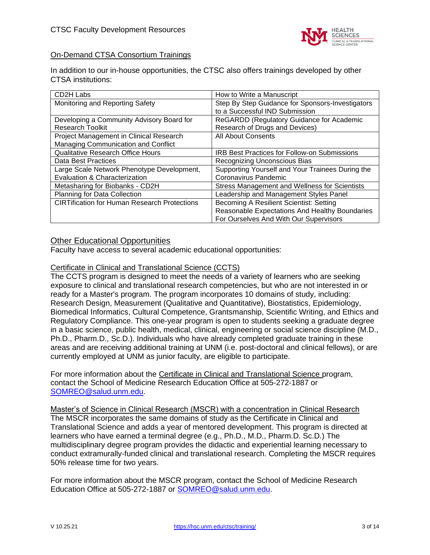

## On-Demand CTSA Consortium Trainings

In addition to our in-house opportunities, the CTSC also offers trainings developed by other CTSA institutions:

| CD2H Labs                                           | How to Write a Manuscript                            |
|-----------------------------------------------------|------------------------------------------------------|
| Monitoring and Reporting Safety                     | Step By Step Guidance for Sponsors-Investigators     |
|                                                     | to a Successful IND Submission                       |
| Developing a Community Advisory Board for           | ReGARDD (Regulatory Guidance for Academic            |
| <b>Research Toolkit</b>                             | Research of Drugs and Devices)                       |
| Project Management in Clinical Research             | <b>All About Consents</b>                            |
| Managing Communication and Conflict                 |                                                      |
| <b>Qualitative Research Office Hours</b>            | <b>IRB Best Practices for Follow-on Submissions</b>  |
| Data Best Practices                                 | Recognizing Unconscious Bias                         |
| Large Scale Network Phenotype Development,          | Supporting Yourself and Your Trainees During the     |
| Evaluation & Characterization                       | Coronavirus Pandemic                                 |
| Metasharing for Biobanks - CD2H                     | <b>Stress Management and Wellness for Scientists</b> |
| <b>Planning for Data Collection</b>                 | Leadership and Management Styles Panel               |
| <b>CIRTification for Human Research Protections</b> | Becoming A Resilient Scientist: Setting              |
|                                                     | Reasonable Expectations And Healthy Boundaries       |
|                                                     | For Ourselves And With Our Supervisors               |

## Other Educational Opportunities

Faculty have access to several academic educational opportunities:

### Certificate in Clinical and Translational Science (CCTS)

The CCTS program is designed to meet the needs of a variety of learners who are seeking exposure to clinical and translational research competencies, but who are not interested in or ready for a Master's program. The program incorporates 10 domains of study, including: Research Design, Measurement (Qualitative and Quantitative), Biostatistics, Epidemiology, Biomedical Informatics, Cultural Competence, Grantsmanship, Scientific Writing, and Ethics and Regulatory Compliance. This one-year program is open to students seeking a graduate degree in a basic science, public health, medical, clinical, engineering or social science discipline (M.D., Ph.D., Pharm.D., Sc.D.). Individuals who have already completed graduate training in these areas and are receiving additional training at UNM (i.e. post-doctoral and clinical fellows), or are currently employed at UNM as junior faculty, are eligible to participate.

For more information about the Certificate in Clinical and Translational Science program, contact the School of Medicine Research Education Office at 505-272-1887 or [SOMREO@salud.unm.edu.](mailto:SOMREO@salud.unm.edu)

Master's of Science in Clinical Research (MSCR) with a concentration in Clinical Research The MSCR incorporates the same domains of study as the Certificate in Clinical and Translational Science and adds a year of mentored development. This program is directed at learners who have earned a terminal degree (e.g., Ph.D., M.D., Pharm.D. Sc.D.) The multidisciplinary degree program provides the didactic and experiential learning necessary to conduct extramurally-funded clinical and translational research. Completing the MSCR requires 50% release time for two years.

For more information about the MSCR program, contact the School of Medicine Research Education Office at 505-272-1887 or [SOMREO@salud.unm.edu.](mailto:SOMREO@salud.unm.edu)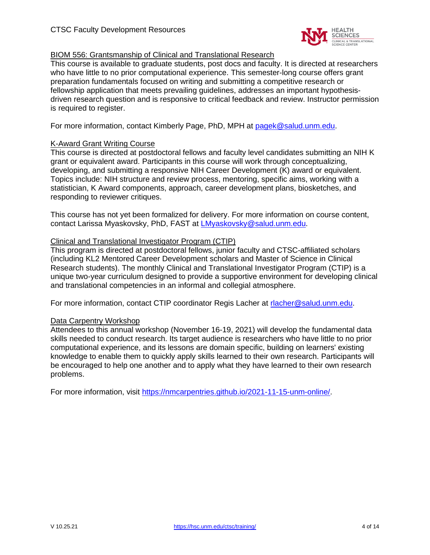

### BIOM 556: Grantsmanship of Clinical and Translational Research

This course is available to graduate students, post docs and faculty. It is directed at researchers who have little to no prior computational experience. This semester-long course offers grant preparation fundamentals focused on writing and submitting a competitive research or fellowship application that meets prevailing guidelines, addresses an important hypothesisdriven research question and is responsive to critical feedback and review. Instructor permission is required to register.

For more information, contact Kimberly Page, PhD, MPH at [pagek@salud.unm.edu.](mailto:pagek@salud.unm.edu)

### K-Award Grant Writing Course

This course is directed at postdoctoral fellows and faculty level candidates submitting an NIH K grant or equivalent award. Participants in this course will work through conceptualizing, developing, and submitting a responsive NIH Career Development (K) award or equivalent. Topics include: NIH structure and review process, mentoring, specific aims, working with a statistician, K Award components, approach, career development plans, biosketches, and responding to reviewer critiques.

This course has not yet been formalized for delivery. For more information on course content, contact Larissa Myaskovsky, PhD, FAST at [LMyaskovsky@salud.unm.edu.](mailto:LMyaskovsky@salud.unm.edu)

## Clinical and Translational Investigator Program (CTIP)

This program is directed at postdoctoral fellows, junior faculty and CTSC-affiliated scholars (including KL2 Mentored Career Development scholars and Master of Science in Clinical Research students). The monthly Clinical and Translational Investigator Program (CTIP) is a unique two-year curriculum designed to provide a supportive environment for developing clinical and translational competencies in an informal and collegial atmosphere.

For more information, contact CTIP coordinator Regis Lacher at [rlacher@salud.unm.edu.](mailto:rlacher@salud.unm.edu)

### Data Carpentry Workshop

Attendees to this annual workshop (November 16-19, 2021) will develop the fundamental data skills needed to conduct research. Its target audience is researchers who have little to no prior computational experience, and its lessons are domain specific, building on learners' existing knowledge to enable them to quickly apply skills learned to their own research. Participants will be encouraged to help one another and to apply what they have learned to their own research problems.

For more information, visit [https://nmcarpentries.github.io/2021-11-15-unm-online/.](https://nmcarpentries.github.io/2021-11-15-unm-online/)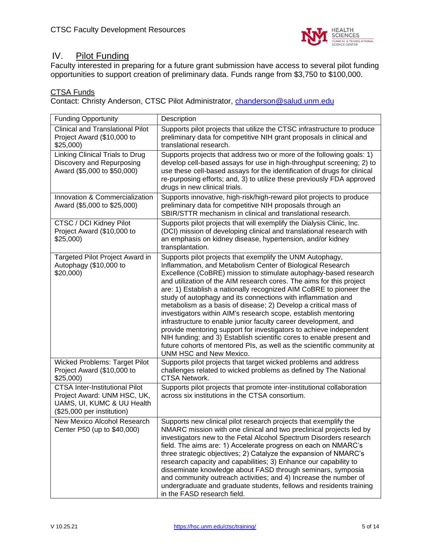

# IV. Pilot Funding

Faculty interested in preparing for a future grant submission have access to several pilot funding opportunities to support creation of preliminary data. Funds range from \$3,750 to \$100,000.

## CTSA Funds

Contact: Christy Anderson, CTSC Pilot Administrator, [chanderson@salud.unm.edu](mailto:chanderson@salud.unm.edu)

| <b>Funding Opportunity</b>                                                                                                       | Description                                                                                                                                                                                                                                                                                                                                                                                                                                                                                                                                                                                                                                                                                                                                                                                                                                                          |
|----------------------------------------------------------------------------------------------------------------------------------|----------------------------------------------------------------------------------------------------------------------------------------------------------------------------------------------------------------------------------------------------------------------------------------------------------------------------------------------------------------------------------------------------------------------------------------------------------------------------------------------------------------------------------------------------------------------------------------------------------------------------------------------------------------------------------------------------------------------------------------------------------------------------------------------------------------------------------------------------------------------|
| <b>Clinical and Translational Pilot</b><br>Project Award (\$10,000 to<br>\$25,000                                                | Supports pilot projects that utilize the CTSC infrastructure to produce<br>preliminary data for competitive NIH grant proposals in clinical and<br>translational research.                                                                                                                                                                                                                                                                                                                                                                                                                                                                                                                                                                                                                                                                                           |
| Linking Clinical Trials to Drug<br>Discovery and Repurposing<br>Award (\$5,000 to \$50,000)                                      | Supports projects that address two or more of the following goals: 1)<br>develop cell-based assays for use in high-throughput screening; 2) to<br>use these cell-based assays for the identification of drugs for clinical<br>re-purposing efforts; and, 3) to utilize these previously FDA approved<br>drugs in new clinical trials.                                                                                                                                                                                                                                                                                                                                                                                                                                                                                                                                |
| Innovation & Commercialization<br>Award (\$5,000 to \$25,000)                                                                    | Supports innovative, high-risk/high-reward pilot projects to produce<br>preliminary data for competitive NIH proposals through an<br>SBIR/STTR mechanism in clinical and translational research.                                                                                                                                                                                                                                                                                                                                                                                                                                                                                                                                                                                                                                                                     |
| CTSC / DCI Kidney Pilot<br>Project Award (\$10,000 to<br>\$25,000                                                                | Supports pilot projects that will exemplify the Dialysis Clinic, Inc.<br>(DCI) mission of developing clinical and translational research with<br>an emphasis on kidney disease, hypertension, and/or kidney<br>transplantation.                                                                                                                                                                                                                                                                                                                                                                                                                                                                                                                                                                                                                                      |
| Targeted Pilot Project Award in<br>Autophagy (\$10,000 to<br>\$20,000                                                            | Supports pilot projects that exemplify the UNM Autophagy,<br>Inflammation, and Metabolism Center of Biological Research<br>Excellence (CoBRE) mission to stimulate autophagy-based research<br>and utilization of the AIM research cores. The aims for this project<br>are: 1) Establish a nationally recognized AIM CoBRE to pioneer the<br>study of autophagy and its connections with inflammation and<br>metabolism as a basis of disease; 2) Develop a critical mass of<br>investigators within AIM's research scope, establish mentoring<br>infrastructure to enable junior faculty career development, and<br>provide mentoring support for investigators to achieve independent<br>NIH funding; and 3) Establish scientific cores to enable present and<br>future cohorts of mentored PIs, as well as the scientific community at<br>UNM HSC and New Mexico. |
| <b>Wicked Problems: Target Pilot</b><br>Project Award (\$10,000 to<br>\$25,000                                                   | Supports pilot projects that target wicked problems and address<br>challenges related to wicked problems as defined by The National<br>CTSA Network.                                                                                                                                                                                                                                                                                                                                                                                                                                                                                                                                                                                                                                                                                                                 |
| <b>CTSA Inter-Institutional Pilot</b><br>Project Award: UNM HSC, UK,<br>UAMS, UI, KUMC & UU Health<br>(\$25,000 per institution) | Supports pilot projects that promote inter-institutional collaboration<br>across six institutions in the CTSA consortium.                                                                                                                                                                                                                                                                                                                                                                                                                                                                                                                                                                                                                                                                                                                                            |
| New Mexico Alcohol Research<br>Center P50 (up to \$40,000)                                                                       | Supports new clinical pilot research projects that exemplify the<br>NMARC mission with one clinical and two preclinical projects led by<br>investigators new to the Fetal Alcohol Spectrum Disorders research<br>field. The aims are: 1) Accelerate progress on each on NMARC's<br>three strategic objectives; 2) Catalyze the expansion of NMARC's<br>research capacity and capabilities; 3) Enhance our capability to<br>disseminate knowledge about FASD through seminars, symposia<br>and community outreach activities; and 4) Increase the number of<br>undergraduate and graduate students, fellows and residents training<br>in the FASD research field.                                                                                                                                                                                                     |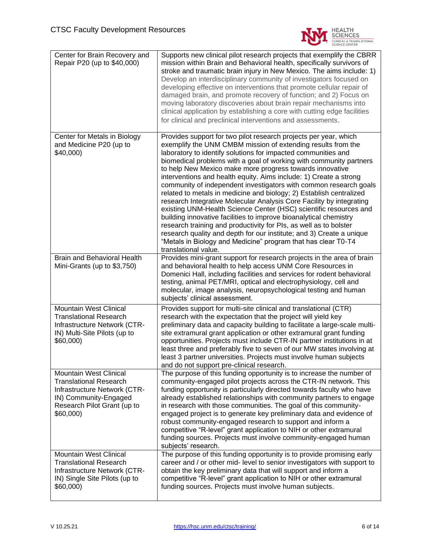

| Center for Brain Recovery and<br>Repair P20 (up to \$40,000)                                                                                                 | Supports new clinical pilot research projects that exemplify the CBRR<br>mission within Brain and Behavioral health, specifically survivors of<br>stroke and traumatic brain injury in New Mexico. The aims include: 1)<br>Develop an interdisciplinary community of investigators focused on<br>developing effective on interventions that promote cellular repair of<br>damaged brain, and promote recovery of function; and 2) Focus on<br>moving laboratory discoveries about brain repair mechanisms into<br>clinical application by establishing a core with cutting edge facilities<br>for clinical and preclinical interventions and assessments.                                                                                                                                                                                                                                                                                                                                                    |
|--------------------------------------------------------------------------------------------------------------------------------------------------------------|--------------------------------------------------------------------------------------------------------------------------------------------------------------------------------------------------------------------------------------------------------------------------------------------------------------------------------------------------------------------------------------------------------------------------------------------------------------------------------------------------------------------------------------------------------------------------------------------------------------------------------------------------------------------------------------------------------------------------------------------------------------------------------------------------------------------------------------------------------------------------------------------------------------------------------------------------------------------------------------------------------------|
| Center for Metals in Biology<br>and Medicine P20 (up to<br>\$40,000)                                                                                         | Provides support for two pilot research projects per year, which<br>exemplify the UNM CMBM mission of extending results from the<br>laboratory to identify solutions for impacted communities and<br>biomedical problems with a goal of working with community partners<br>to help New Mexico make more progress towards innovative<br>interventions and health equity. Aims include: 1) Create a strong<br>community of independent investigators with common research goals<br>related to metals in medicine and biology; 2) Establish centralized<br>research Integrative Molecular Analysis Core Facility by integrating<br>existing UNM-Health Science Center (HSC) scientific resources and<br>building innovative facilities to improve bioanalytical chemistry<br>research training and productivity for PIs, as well as to bolster<br>research quality and depth for our institute; and 3) Create a unique<br>"Metals in Biology and Medicine" program that has clear T0-T4<br>translational value. |
| <b>Brain and Behavioral Health</b><br>Mini-Grants (up to \$3,750)                                                                                            | Provides mini-grant support for research projects in the area of brain<br>and behavioral health to help access UNM Core Resources in<br>Domenici Hall, including facilities and services for rodent behavioral<br>testing, animal PET/MRI, optical and electrophysiology, cell and<br>molecular, image analysis, neuropsychological testing and human<br>subjects' clinical assessment.                                                                                                                                                                                                                                                                                                                                                                                                                                                                                                                                                                                                                      |
| Mountain West Clinical<br><b>Translational Research</b><br>Infrastructure Network (CTR-<br>IN) Multi-Site Pilots (up to<br>\$60,000)                         | Provides support for multi-site clinical and translational (CTR)<br>research with the expectation that the project will yield key<br>preliminary data and capacity building to facilitate a large-scale multi-<br>site extramural grant application or other extramural grant funding<br>opportunities. Projects must include CTR-IN partner institutions in at<br>least three and preferably five to seven of our MW states involving at<br>least 3 partner universities. Projects must involve human subjects<br>and do not support pre-clinical research.                                                                                                                                                                                                                                                                                                                                                                                                                                                 |
| Mountain West Clinical<br><b>Translational Research</b><br>Infrastructure Network (CTR-<br>IN) Community-Engaged<br>Research Pilot Grant (up to<br>\$60,000) | The purpose of this funding opportunity is to increase the number of<br>community-engaged pilot projects across the CTR-IN network. This<br>funding opportunity is particularly directed towards faculty who have<br>already established relationships with community partners to engage<br>in research with those communities. The goal of this community-<br>engaged project is to generate key preliminary data and evidence of<br>robust community-engaged research to support and inform a<br>competitive "R-level" grant application to NIH or other extramural<br>funding sources. Projects must involve community-engaged human<br>subjects' research.                                                                                                                                                                                                                                                                                                                                               |
| <b>Mountain West Clinical</b><br><b>Translational Research</b><br>Infrastructure Network (CTR-<br>IN) Single Site Pilots (up to<br>\$60,000)                 | The purpose of this funding opportunity is to provide promising early<br>career and / or other mid- level to senior investigators with support to<br>obtain the key preliminary data that will support and inform a<br>competitive "R-level" grant application to NIH or other extramural<br>funding sources. Projects must involve human subjects.                                                                                                                                                                                                                                                                                                                                                                                                                                                                                                                                                                                                                                                          |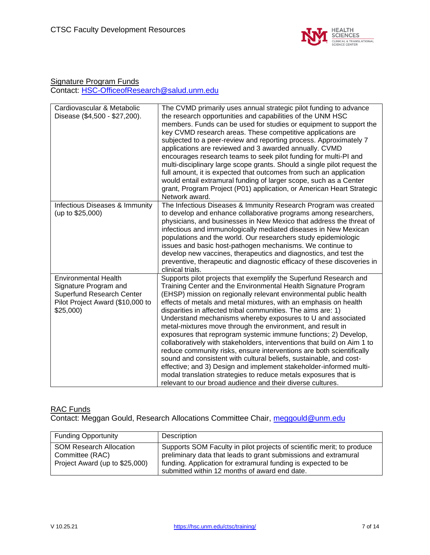

## Signature Program Funds Contact: [HSC-OfficeofResearch@salud.unm.edu](mailto:HSC-OfficeofResearch@salud.unm.edu)

| Cardiovascular & Metabolic<br>Disease (\$4,500 - \$27,200).                                                                              | The CVMD primarily uses annual strategic pilot funding to advance<br>the research opportunities and capabilities of the UNM HSC<br>members. Funds can be used for studies or equipment to support the<br>key CVMD research areas. These competitive applications are<br>subjected to a peer-review and reporting process. Approximately 7<br>applications are reviewed and 3 awarded annually. CVMD<br>encourages research teams to seek pilot funding for multi-PI and<br>multi-disciplinary large scope grants. Should a single pilot request the<br>full amount, it is expected that outcomes from such an application<br>would entail extramural funding of larger scope, such as a Center<br>grant, Program Project (P01) application, or American Heart Strategic<br>Network award.                                                                                                                                                                                    |
|------------------------------------------------------------------------------------------------------------------------------------------|------------------------------------------------------------------------------------------------------------------------------------------------------------------------------------------------------------------------------------------------------------------------------------------------------------------------------------------------------------------------------------------------------------------------------------------------------------------------------------------------------------------------------------------------------------------------------------------------------------------------------------------------------------------------------------------------------------------------------------------------------------------------------------------------------------------------------------------------------------------------------------------------------------------------------------------------------------------------------|
| Infectious Diseases & Immunity<br>(up to \$25,000)                                                                                       | The Infectious Diseases & Immunity Research Program was created<br>to develop and enhance collaborative programs among researchers,<br>physicians, and businesses in New Mexico that address the threat of<br>infectious and immunologically mediated diseases in New Mexican<br>populations and the world. Our researchers study epidemiologic<br>issues and basic host-pathogen mechanisms. We continue to<br>develop new vaccines, therapeutics and diagnostics, and test the<br>preventive, therapeutic and diagnostic efficacy of these discoveries in<br>clinical trials.                                                                                                                                                                                                                                                                                                                                                                                              |
| <b>Environmental Health</b><br>Signature Program and<br><b>Superfund Research Center</b><br>Pilot Project Award (\$10,000 to<br>\$25,000 | Supports pilot projects that exemplify the Superfund Research and<br>Training Center and the Environmental Health Signature Program<br>(EHSP) mission on regionally relevant environmental public health<br>effects of metals and metal mixtures, with an emphasis on health<br>disparities in affected tribal communities. The aims are: 1)<br>Understand mechanisms whereby exposures to U and associated<br>metal-mixtures move through the environment, and result in<br>exposures that reprogram systemic immune functions; 2) Develop,<br>collaboratively with stakeholders, interventions that build on Aim 1 to<br>reduce community risks, ensure interventions are both scientifically<br>sound and consistent with cultural beliefs, sustainable, and cost-<br>effective; and 3) Design and implement stakeholder-informed multi-<br>modal translation strategies to reduce metals exposures that is<br>relevant to our broad audience and their diverse cultures. |

### RAC Funds

Contact: Meggan Gould, Research Allocations Committee Chair, **meggould@unm.edu** 

| <b>Funding Opportunity</b>                                                          | Description                                                                                                                                                                                                                                                 |
|-------------------------------------------------------------------------------------|-------------------------------------------------------------------------------------------------------------------------------------------------------------------------------------------------------------------------------------------------------------|
| <b>SOM Research Allocation</b><br>Committee (RAC)<br>Project Award (up to \$25,000) | Supports SOM Faculty in pilot projects of scientific merit; to produce<br>preliminary data that leads to grant submissions and extramural<br>funding. Application for extramural funding is expected to be<br>submitted within 12 months of award end date. |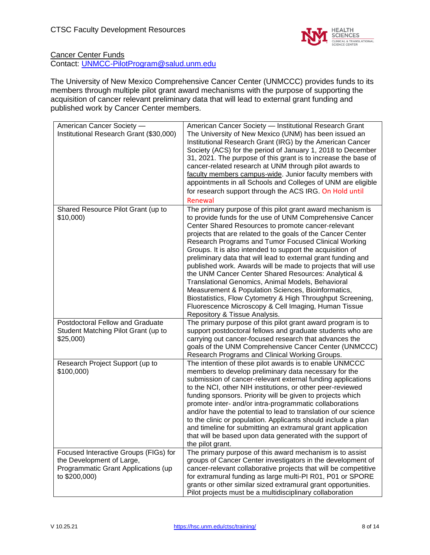

### **Cancer Center Funds** Contact: [UNMCC-PilotProgram@salud.unm.edu](mailto:UNMCC-PilotProgram@salud.unm.edu)

The University of New Mexico Comprehensive Cancer Center (UNMCCC) provides funds to its members through multiple pilot grant award mechanisms with the purpose of supporting the acquisition of cancer relevant preliminary data that will lead to external grant funding and published work by Cancer Center members.

| American Cancer Society -<br>Institutional Research Grant (\$30,000)                                                       | American Cancer Society - Institutional Research Grant<br>The University of New Mexico (UNM) has been issued an<br>Institutional Research Grant (IRG) by the American Cancer<br>Society (ACS) for the period of January 1, 2018 to December<br>31, 2021. The purpose of this grant is to increase the base of<br>cancer-related research at UNM through pilot awards to<br>faculty members campus-wide. Junior faculty members with<br>appointments in all Schools and Colleges of UNM are eligible<br>for research support through the ACS IRG. On Hold until<br>Renewal                                                                                                                                                                                                                                                    |
|----------------------------------------------------------------------------------------------------------------------------|------------------------------------------------------------------------------------------------------------------------------------------------------------------------------------------------------------------------------------------------------------------------------------------------------------------------------------------------------------------------------------------------------------------------------------------------------------------------------------------------------------------------------------------------------------------------------------------------------------------------------------------------------------------------------------------------------------------------------------------------------------------------------------------------------------------------------|
| Shared Resource Pilot Grant (up to<br>\$10,000                                                                             | The primary purpose of this pilot grant award mechanism is<br>to provide funds for the use of UNM Comprehensive Cancer<br>Center Shared Resources to promote cancer-relevant<br>projects that are related to the goals of the Cancer Center<br>Research Programs and Tumor Focused Clinical Working<br>Groups. It is also intended to support the acquisition of<br>preliminary data that will lead to external grant funding and<br>published work. Awards will be made to projects that will use<br>the UNM Cancer Center Shared Resources: Analytical &<br>Translational Genomics, Animal Models, Behavioral<br>Measurement & Population Sciences, Bioinformatics,<br>Biostatistics, Flow Cytometry & High Throughput Screening,<br>Fluorescence Microscopy & Cell Imaging, Human Tissue<br>Repository & Tissue Analysis. |
| Postdoctoral Fellow and Graduate<br>Student Matching Pilot Grant (up to<br>\$25,000                                        | The primary purpose of this pilot grant award program is to<br>support postdoctoral fellows and graduate students who are<br>carrying out cancer-focused research that advances the<br>goals of the UNM Comprehensive Cancer Center (UNMCCC)<br>Research Programs and Clinical Working Groups.                                                                                                                                                                                                                                                                                                                                                                                                                                                                                                                               |
| Research Project Support (up to<br>\$100,000)                                                                              | The intention of these pilot awards is to enable UNMCCC<br>members to develop preliminary data necessary for the<br>submission of cancer-relevant external funding applications<br>to the NCI, other NIH institutions, or other peer-reviewed<br>funding sponsors. Priority will be given to projects which<br>promote inter- and/or intra-programmatic collaborations<br>and/or have the potential to lead to translation of our science<br>to the clinic or population. Applicants should include a plan<br>and timeline for submitting an extramural grant application<br>that will be based upon data generated with the support of<br>the pilot grant.                                                                                                                                                                  |
| Focused Interactive Groups (FIGs) for<br>the Development of Large,<br>Programmatic Grant Applications (up<br>to \$200,000) | The primary purpose of this award mechanism is to assist<br>groups of Cancer Center investigators in the development of<br>cancer-relevant collaborative projects that will be competitive<br>for extramural funding as large multi-PI R01, P01 or SPORE<br>grants or other similar sized extramural grant opportunities.<br>Pilot projects must be a multidisciplinary collaboration                                                                                                                                                                                                                                                                                                                                                                                                                                        |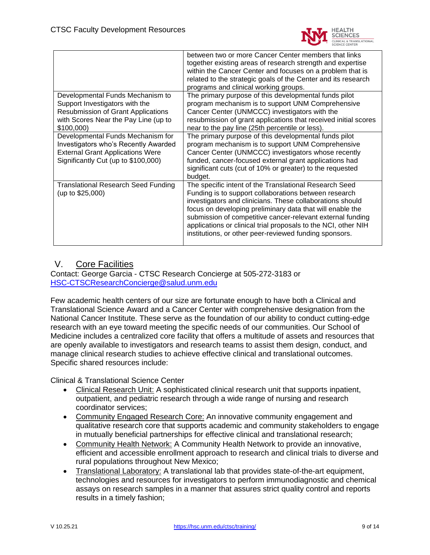

|                                            | between two or more Cancer Center members that links            |
|--------------------------------------------|-----------------------------------------------------------------|
|                                            | together existing areas of research strength and expertise      |
|                                            | within the Cancer Center and focuses on a problem that is       |
|                                            | related to the strategic goals of the Center and its research   |
|                                            | programs and clinical working groups.                           |
| Developmental Funds Mechanism to           | The primary purpose of this developmental funds pilot           |
| Support Investigators with the             | program mechanism is to support UNM Comprehensive               |
| <b>Resubmission of Grant Applications</b>  | Cancer Center (UNMCCC) investigators with the                   |
| with Scores Near the Pay Line (up to       | resubmission of grant applications that received initial scores |
| \$100,000                                  | near to the pay line (25th percentile or less).                 |
| Developmental Funds Mechanism for          | The primary purpose of this developmental funds pilot           |
| Investigators who's Recently Awarded       | program mechanism is to support UNM Comprehensive               |
| <b>External Grant Applications Were</b>    | Cancer Center (UNMCCC) investigators whose recently             |
| Significantly Cut (up to \$100,000)        | funded, cancer-focused external grant applications had          |
|                                            | significant cuts (cut of 10% or greater) to the requested       |
|                                            | budget.                                                         |
| <b>Translational Research Seed Funding</b> | The specific intent of the Translational Research Seed          |
| (up to $$25,000$ )                         | Funding is to support collaborations between research           |
|                                            | investigators and clinicians. These collaborations should       |
|                                            | focus on developing preliminary data that will enable the       |
|                                            | submission of competitive cancer-relevant external funding      |
|                                            | applications or clinical trial proposals to the NCI, other NIH  |
|                                            | institutions, or other peer-reviewed funding sponsors.          |
|                                            |                                                                 |

## V. Core Facilities

Contact: George Garcia - CTSC Research Concierge at 505-272-3183 or [HSC-CTSCResearchConcierge@salud.unm.edu](mailto:HSC-CTSCResearchConcierge@salud.unm.edu) 

Few academic health centers of our size are fortunate enough to have both a Clinical and Translational Science Award and a Cancer Center with comprehensive designation from the National Cancer Institute. These serve as the foundation of our ability to conduct cutting-edge research with an eye toward meeting the specific needs of our communities. Our School of Medicine includes a centralized core facility that offers a multitude of assets and resources that are openly available to investigators and research teams to assist them design, conduct, and manage clinical research studies to achieve effective clinical and translational outcomes. Specific shared resources include:

Clinical & Translational Science Center

- Clinical Research Unit: A sophisticated clinical research unit that supports inpatient, outpatient, and pediatric research through a wide range of nursing and research coordinator services;
- Community Engaged Research Core: An innovative community engagement and qualitative research core that supports academic and community stakeholders to engage in mutually beneficial partnerships for effective clinical and translational research;
- Community Health Network: A Community Health Network to provide an innovative, efficient and accessible enrollment approach to research and clinical trials to diverse and rural populations throughout New Mexico;
- Translational Laboratory: A translational lab that provides state-of-the-art equipment, technologies and resources for investigators to perform immunodiagnostic and chemical assays on research samples in a manner that assures strict quality control and reports results in a timely fashion;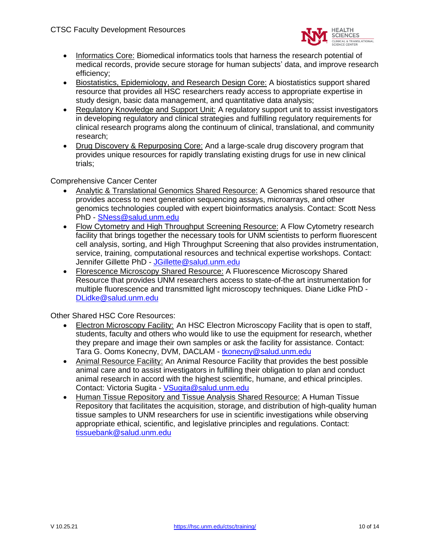

- Informatics Core: Biomedical informatics tools that harness the research potential of medical records, provide secure storage for human subjects' data, and improve research efficiency;
- Biostatistics, Epidemiology, and Research Design Core: A biostatistics support shared resource that provides all HSC researchers ready access to appropriate expertise in study design, basic data management, and quantitative data analysis;
- Regulatory Knowledge and Support Unit: A regulatory support unit to assist investigators in developing regulatory and clinical strategies and fulfilling regulatory requirements for clinical research programs along the continuum of clinical, translational, and community research;
- Drug Discovery & Repurposing Core: And a large-scale drug discovery program that provides unique resources for rapidly translating existing drugs for use in new clinical trials;

## Comprehensive Cancer Center

- Analytic & Translational Genomics Shared Resource: A Genomics shared resource that provides access to next generation sequencing assays, microarrays, and other genomics technologies coupled with expert bioinformatics analysis. Contact: Scott Ness PhD - [SNess@salud.unm.edu](mailto:SNess@salud.unm.edu)
- Flow Cytometry and High Throughput Screening Resource: A Flow Cytometry research facility that brings together the necessary tools for UNM scientists to perform fluorescent cell analysis, sorting, and High Throughput Screening that also provides instrumentation, service, training, computational resources and technical expertise workshops. Contact: Jennifer Gillette PhD - [JGillette@salud.unm.edu](mailto:JGillette@salud.unm.edu)
- Florescence Microscopy Shared Resource: A Fluorescence Microscopy Shared Resource that provides UNM researchers access to state-of-the art instrumentation for multiple fluorescence and transmitted light microscopy techniques. Diane Lidke PhD - [DLidke@salud.unm.edu](mailto:DLidke@salud.unm.edu)

Other Shared HSC Core Resources:

- Electron Microscopy Facility: An HSC Electron Microscopy Facility that is open to staff, students, faculty and others who would like to use the equipment for research, whether they prepare and image their own samples or ask the facility for assistance. Contact: Tara G. Ooms Konecny, DVM, DACLAM - [tkonecny@salud.unm.edu](mailto:tkonecny@salud.unm.edu)
- Animal Resource Facility: An Animal Resource Facility that provides the best possible animal care and to assist investigators in fulfilling their obligation to plan and conduct animal research in accord with the highest scientific, humane, and ethical principles. Contact: Victoria Sugita - [VSugita@salud.unm.edu](mailto:VSugita@salud.unm.edu)
- Human Tissue Repository and Tissue Analysis Shared Resource: A Human Tissue Repository that facilitates the acquisition, storage, and distribution of high-quality human tissue samples to UNM researchers for use in scientific investigations while observing appropriate ethical, scientific, and legislative principles and regulations. Contact: [tissuebank@salud.unm.edu](mailto:tissuebank@salud.unm.edu)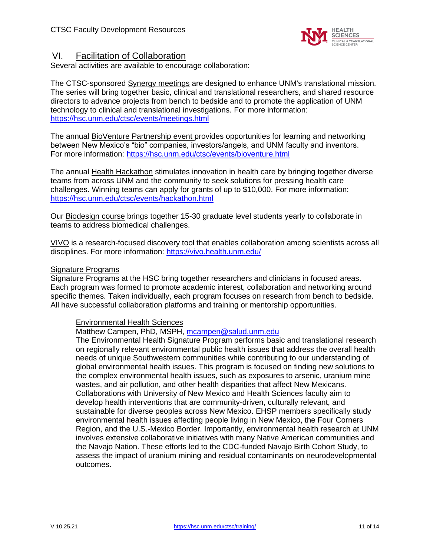

## VI. Facilitation of Collaboration

Several activities are available to encourage collaboration:

The CTSC-sponsored Synergy meetings are designed to enhance UNM's translational mission. The series will bring together basic, clinical and translational researchers, and shared resource directors to advance projects from bench to bedside and to promote the application of UNM technology to clinical and translational investigations. For more information: <https://hsc.unm.edu/ctsc/events/meetings.html>

The annual BioVenture Partnership event provides opportunities for learning and networking between New Mexico's "bio" companies, investors/angels, and UNM faculty and inventors. For more information:<https://hsc.unm.edu/ctsc/events/bioventure.html>

The annual Health Hackathon stimulates innovation in health care by bringing together diverse teams from across UNM and the community to seek solutions for pressing health care challenges. Winning teams can apply for grants of up to \$10,000. For more information: <https://hsc.unm.edu/ctsc/events/hackathon.html>

Our Biodesign course brings together 15-30 graduate level students yearly to collaborate in teams to address biomedical challenges.

VIVO is a research-focused discovery tool that enables collaboration among scientists across all disciplines. For more information:<https://vivo.health.unm.edu/>

#### Signature Programs

Signature Programs at the HSC bring together researchers and clinicians in focused areas. Each program was formed to promote academic interest, collaboration and networking around specific themes. Taken individually, each program focuses on research from bench to bedside. All have successful collaboration platforms and training or mentorship opportunities.

### Environmental Health Sciences

### Matthew Campen, PhD, MSPH, [mcampen@salud.unm.edu](mailto:mcampen@salud.unm.edu)

The Environmental Health Signature Program performs basic and translational research on regionally relevant environmental public health issues that address the overall health needs of unique Southwestern communities while contributing to our understanding of global environmental health issues. This program is focused on finding new solutions to the complex environmental health issues, such as exposures to arsenic, uranium mine wastes, and air pollution, and other health disparities that affect New Mexicans. Collaborations with University of New Mexico and Health Sciences faculty aim to develop health interventions that are community-driven, culturally relevant, and sustainable for diverse peoples across New Mexico. EHSP members specifically study environmental health issues affecting people living in New Mexico, the Four Corners Region, and the U.S.-Mexico Border. Importantly, environmental health research at UNM involves extensive collaborative initiatives with many Native American communities and the Navajo Nation. These efforts led to the CDC-funded Navajo Birth Cohort Study, to assess the impact of uranium mining and residual contaminants on neurodevelopmental outcomes.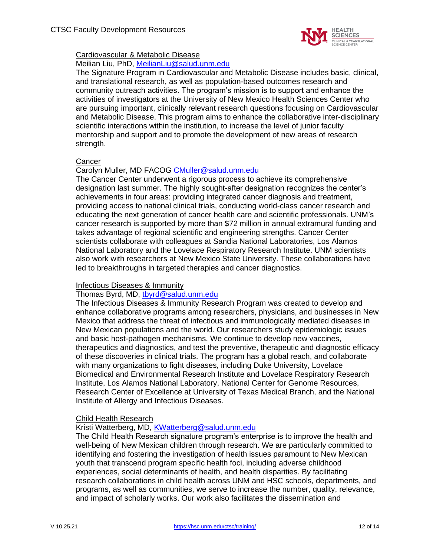

## Cardiovascular & Metabolic Disease

Meilian Liu, PhD, [MeilianLiu@salud.unm.edu](mailto:MeilianLiu@salud.unm.edu)

The Signature Program in Cardiovascular and Metabolic Disease includes basic, clinical, and translational research, as well as population-based outcomes research and community outreach activities. The program's mission is to support and enhance the activities of investigators at the University of New Mexico Health Sciences Center who are pursuing important, clinically relevant research questions focusing on Cardiovascular and Metabolic Disease. This program aims to enhance the collaborative inter-disciplinary scientific interactions within the institution, to increase the level of junior faculty mentorship and support and to promote the development of new areas of research strength.

## **Cancer**

## Carolyn Muller, MD FACOG [CMuller@salud.unm.edu](mailto:CMuller@salud.unm.edu)

The Cancer Center underwent a rigorous process to achieve its comprehensive designation last summer. The highly sought-after designation recognizes the center's achievements in four areas: providing integrated cancer diagnosis and treatment, providing access to national clinical trials, conducting world-class cancer research and educating the next generation of cancer health care and scientific professionals. UNM's cancer research is supported by more than \$72 million in annual extramural funding and takes advantage of regional scientific and engineering strengths. Cancer Center scientists collaborate with colleagues at Sandia National Laboratories, Los Alamos National Laboratory and the Lovelace Respiratory Research Institute. UNM scientists also work with researchers at New Mexico State University. These collaborations have led to breakthroughs in targeted therapies and cancer diagnostics.

## Infectious Diseases & Immunity

### Thomas Byrd, MD, [tbyrd@salud.unm.edu](mailto:tbyrd@salud.unm.edu)

The Infectious Diseases & Immunity Research Program was created to develop and enhance collaborative programs among researchers, physicians, and businesses in New Mexico that address the threat of infectious and immunologically mediated diseases in New Mexican populations and the world. Our researchers study epidemiologic issues and basic host-pathogen mechanisms. We continue to develop new vaccines, therapeutics and diagnostics, and test the preventive, therapeutic and diagnostic efficacy of these discoveries in clinical trials. The program has a global reach, and collaborate with many organizations to fight diseases, including Duke University, Lovelace Biomedical and Environmental Research Institute and Lovelace Respiratory Research Institute, Los Alamos National Laboratory, National Center for Genome Resources, Research Center of Excellence at University of Texas Medical Branch, and the National Institute of Allergy and Infectious Diseases.

## Child Health Research

## Kristi Watterberg, MD, [KWatterberg@salud.unm.edu](mailto:KWatterberg@salud.unm.edu)

The Child Health Research signature program's enterprise is to improve the health and well-being of New Mexican children through research. We are particularly committed to identifying and fostering the investigation of health issues paramount to New Mexican youth that transcend program specific health foci, including adverse childhood experiences, social determinants of health, and health disparities. By facilitating research collaborations in child health across UNM and HSC schools, departments, and programs, as well as communities, we serve to increase the number, quality, relevance, and impact of scholarly works. Our work also facilitates the dissemination and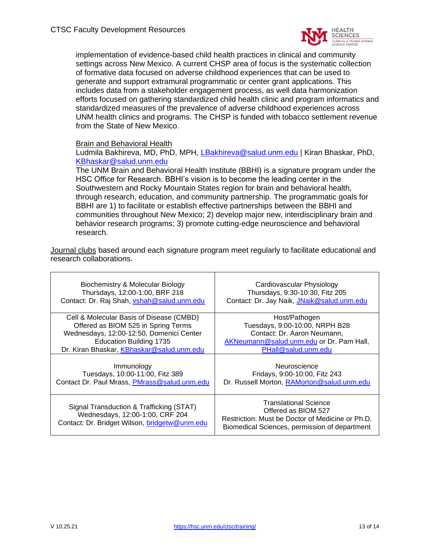

implementation of evidence-based child health practices in clinical and community settings across New Mexico. A current CHSP area of focus is the systematic collection of formative data focused on adverse childhood experiences that can be used to generate and support extramural programmatic or center grant applications. This includes data from a stakeholder engagement process, as well data harmonization efforts focused on gathering standardized child health clinic and program informatics and standardized measures of the prevalence of adverse childhood experiences across UNM health clinics and programs. The CHSP is funded with tobacco settlement revenue from the State of New Mexico.

### Brain and Behavioral Health

Ludmila Bakhireva, MD, PhD, MPH, [LBakhireva@salud.unm.edu](mailto:LBakhireva@salud.unm.edu) | Kiran Bhaskar, PhD, [KBhaskar@salud.unm.edu](mailto:KBhaskar@salud.unm.edu)

The UNM Brain and Behavioral Health Institute (BBHI) is a signature program under the HSC Office for Research. BBHI's vision is to become the leading center in the Southwestern and Rocky Mountain States region for brain and behavioral health, through research, education, and community partnership. The programmatic goals for BBHI are 1) to facilitate or establish effective partnerships between the BBHI and communities throughout New Mexico; 2) develop major new, interdisciplinary brain and behavior research programs; 3) promote cutting-edge neuroscience and behavioral research.

Journal clubs based around each signature program meet regularly to facilitate educational and research collaborations.

| Biochemistry & Molecular Biology                                                                                             | Cardiovascular Physiology                                                                                                                                |
|------------------------------------------------------------------------------------------------------------------------------|----------------------------------------------------------------------------------------------------------------------------------------------------------|
| Thursdays, 12:00-1:00, BRF 218                                                                                               | Thursdays, 9:30-10:30, Fitz 205                                                                                                                          |
| Contact: Dr. Raj Shah, vshah@salud.unm.edu                                                                                   | Contact: Dr. Jay Naik, JNaik@salud.unm.edu                                                                                                               |
| Cell & Molecular Basis of Disease (CMBD)                                                                                     | Host/Pathogen                                                                                                                                            |
| Offered as BIOM 525 in Spring Terms                                                                                          | Tuesdays, 9:00-10:00, NRPH B28                                                                                                                           |
| Wednesdays, 12:00-12:50, Domenici Center                                                                                     | Contact: Dr. Aaron Neumann,                                                                                                                              |
| <b>Education Building 1735</b>                                                                                               | AKNeumann@salud.unm.edu or Dr. Pam Hall,                                                                                                                 |
| Dr. Kiran Bhaskar, KBhaskar@salud.unm.edu                                                                                    | PHall@salud.unm.edu                                                                                                                                      |
| Immunology                                                                                                                   | Neuroscience                                                                                                                                             |
| Tuesdays, 10:00-11:00, Fitz 389                                                                                              | Fridays, 9:00-10:00, Fitz 243                                                                                                                            |
| Contact Dr. Paul Mrass, PMrass@salud.unm.edu                                                                                 | Dr. Russell Morton, RAMorton@salud.unm.edu                                                                                                               |
| Signal Transduction & Trafficking (STAT)<br>Wednesdays, 12:00-1:00, CRF 204<br>Contact: Dr. Bridget Wilson, bridgetw@unm.edu | <b>Translational Science</b><br>Offered as BIOM 527<br>Restriction: Must be Doctor of Medicine or Ph.D.<br>Biomedical Sciences, permission of department |